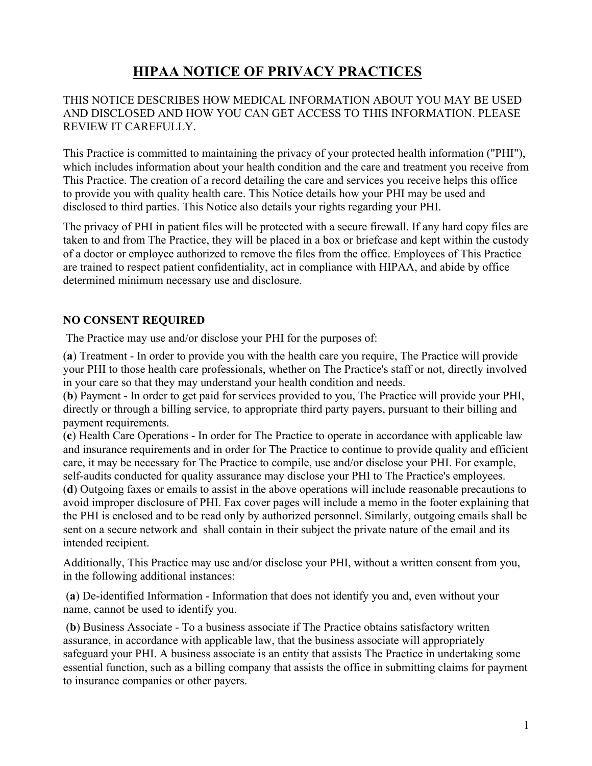# **HIPAA NOTICE OF PRIVACY PRACTICES**

# THIS NOTICE DESCRIBES HOW MEDICAL INFORMATION ABOUT YOU MAY BE USED AND DISCLOSED AND HOW YOU CAN GET ACCESS TO THIS INFORMATION. PLEASE REVIEW IT CAREFULLY.

This Practice is committed to maintaining the privacy of your protected health information ("PHI"), which includes information about your health condition and the care and treatment you receive from This Practice. The creation of a record detailing the care and services you receive helps this office to provide you with quality health care. This Notice details how your PHI may be used and disclosed to third parties. This Notice also details your rights regarding your PHI.

The privacy of PHI in patient files will be protected with a secure firewall. If any hard copy files are taken to and from The Practice, they will be placed in a box or briefcase and kept within the custody of a doctor or employee authorized to remove the files from the office. Employees of This Practice are trained to respect patient confidentiality, act in compliance with HIPAA, and abide by office determined minimum necessary use and disclosure.

# **NO CONSENT REQUIRED**

The Practice may use and/or disclose your PHI for the purposes of:

(**a**) Treatment - In order to provide you with the health care you require, The Practice will provide your PHI to those health care professionals, whether on The Practice's staff or not, directly involved in your care so that they may understand your health condition and needs.

(**b**) Payment - In order to get paid for services provided to you, The Practice will provide your PHI, directly or through a billing service, to appropriate third party payers, pursuant to their billing and payment requirements.

(**c**) Health Care Operations - In order for The Practice to operate in accordance with applicable law and insurance requirements and in order for The Practice to continue to provide quality and efficient care, it may be necessary for The Practice to compile, use and/or disclose your PHI. For example, self-audits conducted for quality assurance may disclose your PHI to The Practice's employees. (**d**) Outgoing faxes or emails to assist in the above operations will include reasonable precautions to avoid improper disclosure of PHI. Fax cover pages will include a memo in the footer explaining that the PHI is enclosed and to be read only by authorized personnel. Similarly, outgoing emails shall be sent on a secure network and shall contain in their subject the private nature of the email and its intended recipient.

Additionally, This Practice may use and/or disclose your PHI, without a written consent from you, in the following additional instances:

(**a**) De-identified Information - Information that does not identify you and, even without your name, cannot be used to identify you.

(**b**) Business Associate - To a business associate if The Practice obtains satisfactory written assurance, in accordance with applicable law, that the business associate will appropriately safeguard your PHI. A business associate is an entity that assists The Practice in undertaking some essential function, such as a billing company that assists the office in submitting claims for payment to insurance companies or other payers.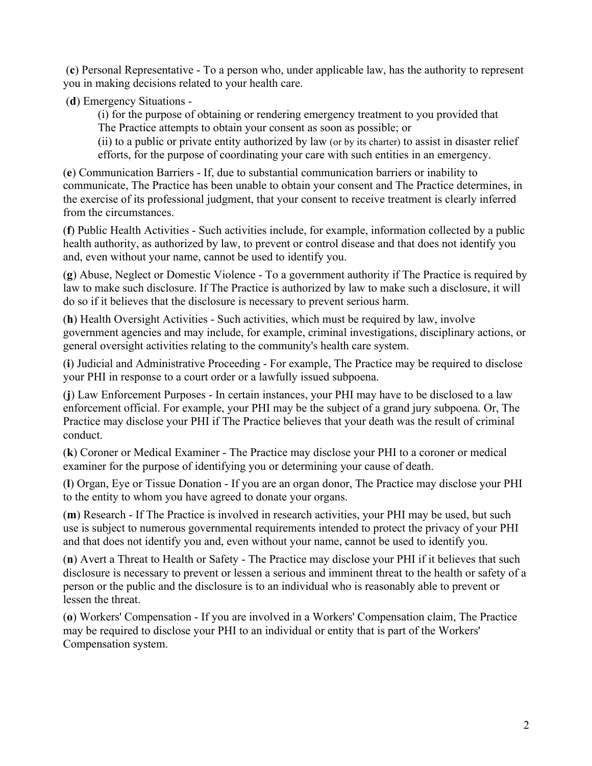(**c**) Personal Representative - To a person who, under applicable law, has the authority to represent you in making decisions related to your health care.

(**d**) Emergency Situations -

(i) for the purpose of obtaining or rendering emergency treatment to you provided that The Practice attempts to obtain your consent as soon as possible; or

(ii) to a public or private entity authorized by law (or by its charter) to assist in disaster relief efforts, for the purpose of coordinating your care with such entities in an emergency.

(**e**) Communication Barriers - If, due to substantial communication barriers or inability to communicate, The Practice has been unable to obtain your consent and The Practice determines, in the exercise of its professional judgment, that your consent to receive treatment is clearly inferred from the circumstances.

(**f**) Public Health Activities - Such activities include, for example, information collected by a public health authority, as authorized by law, to prevent or control disease and that does not identify you and, even without your name, cannot be used to identify you.

(**g**) Abuse, Neglect or Domestic Violence - To a government authority if The Practice is required by law to make such disclosure. If The Practice is authorized by law to make such a disclosure, it will do so if it believes that the disclosure is necessary to prevent serious harm.

(**h**) Health Oversight Activities - Such activities, which must be required by law, involve government agencies and may include, for example, criminal investigations, disciplinary actions, or general oversight activities relating to the community's health care system.

(**i**) Judicial and Administrative Proceeding - For example, The Practice may be required to disclose your PHI in response to a court order or a lawfully issued subpoena.

(**j**) Law Enforcement Purposes - In certain instances, your PHI may have to be disclosed to a law enforcement official. For example, your PHI may be the subject of a grand jury subpoena. Or, The Practice may disclose your PHI if The Practice believes that your death was the result of criminal conduct.

(**k**) Coroner or Medical Examiner - The Practice may disclose your PHI to a coroner or medical examiner for the purpose of identifying you or determining your cause of death.

(**l**) Organ, Eye or Tissue Donation - If you are an organ donor, The Practice may disclose your PHI to the entity to whom you have agreed to donate your organs.

(**m**) Research - If The Practice is involved in research activities, your PHI may be used, but such use is subject to numerous governmental requirements intended to protect the privacy of your PHI and that does not identify you and, even without your name, cannot be used to identify you.

(**n**) Avert a Threat to Health or Safety - The Practice may disclose your PHI if it believes that such disclosure is necessary to prevent or lessen a serious and imminent threat to the health or safety of a person or the public and the disclosure is to an individual who is reasonably able to prevent or lessen the threat.

(**o**) Workers' Compensation - If you are involved in a Workers' Compensation claim, The Practice may be required to disclose your PHI to an individual or entity that is part of the Workers' Compensation system.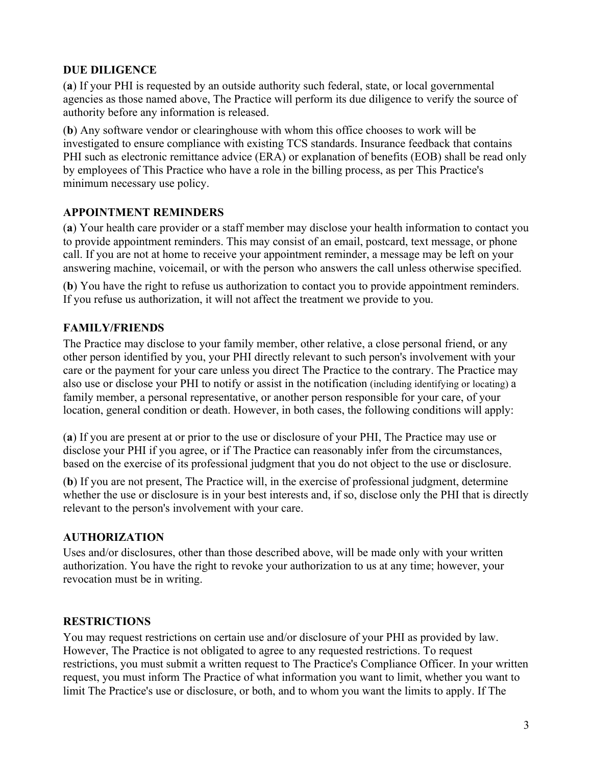# **DUE DILIGENCE**

(**a**) If your PHI is requested by an outside authority such federal, state, or local governmental agencies as those named above, The Practice will perform its due diligence to verify the source of authority before any information is released.

(**b**) Any software vendor or clearinghouse with whom this office chooses to work will be investigated to ensure compliance with existing TCS standards. Insurance feedback that contains PHI such as electronic remittance advice (ERA) or explanation of benefits (EOB) shall be read only by employees of This Practice who have a role in the billing process, as per This Practice's minimum necessary use policy.

# **APPOINTMENT REMINDERS**

(**a**) Your health care provider or a staff member may disclose your health information to contact you to provide appointment reminders. This may consist of an email, postcard, text message, or phone call. If you are not at home to receive your appointment reminder, a message may be left on your answering machine, voicemail, or with the person who answers the call unless otherwise specified.

(**b**) You have the right to refuse us authorization to contact you to provide appointment reminders. If you refuse us authorization, it will not affect the treatment we provide to you.

# **FAMILY/FRIENDS**

The Practice may disclose to your family member, other relative, a close personal friend, or any other person identified by you, your PHI directly relevant to such person's involvement with your care or the payment for your care unless you direct The Practice to the contrary. The Practice may also use or disclose your PHI to notify or assist in the notification (including identifying or locating) a family member, a personal representative, or another person responsible for your care, of your location, general condition or death. However, in both cases, the following conditions will apply:

(**a**) If you are present at or prior to the use or disclosure of your PHI, The Practice may use or disclose your PHI if you agree, or if The Practice can reasonably infer from the circumstances, based on the exercise of its professional judgment that you do not object to the use or disclosure.

(**b**) If you are not present, The Practice will, in the exercise of professional judgment, determine whether the use or disclosure is in your best interests and, if so, disclose only the PHI that is directly relevant to the person's involvement with your care.

#### **AUTHORIZATION**

Uses and/or disclosures, other than those described above, will be made only with your written authorization. You have the right to revoke your authorization to us at any time; however, your revocation must be in writing.

# **RESTRICTIONS**

You may request restrictions on certain use and/or disclosure of your PHI as provided by law. However, The Practice is not obligated to agree to any requested restrictions. To request restrictions, you must submit a written request to The Practice's Compliance Officer. In your written request, you must inform The Practice of what information you want to limit, whether you want to limit The Practice's use or disclosure, or both, and to whom you want the limits to apply. If The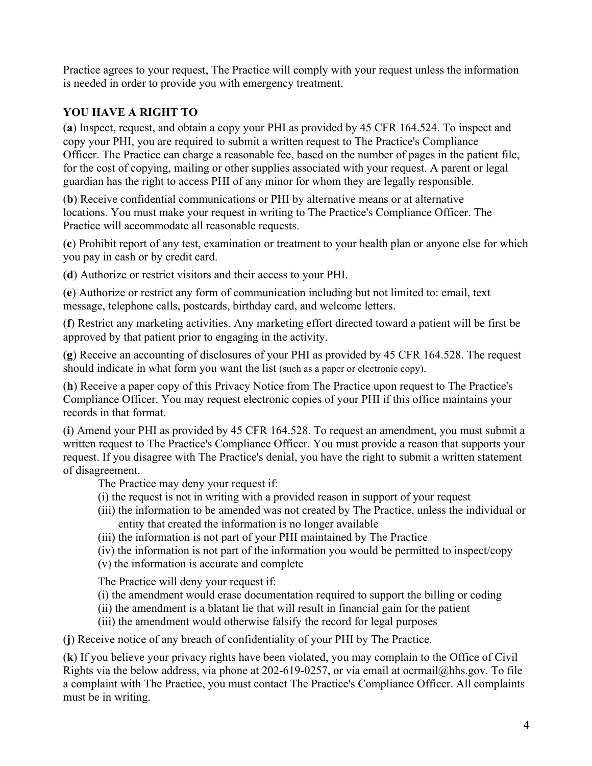Practice agrees to your request, The Practice will comply with your request unless the information is needed in order to provide you with emergency treatment.

# **YOU HAVE A RIGHT TO**

(**a**) Inspect, request, and obtain a copy your PHI as provided by 45 CFR 164.524. To inspect and copy your PHI, you are required to submit a written request to The Practice's Compliance Officer. The Practice can charge a reasonable fee, based on the number of pages in the patient file, for the cost of copying, mailing or other supplies associated with your request. A parent or legal guardian has the right to access PHI of any minor for whom they are legally responsible.

(**b**) Receive confidential communications or PHI by alternative means or at alternative locations. You must make your request in writing to The Practice's Compliance Officer. The Practice will accommodate all reasonable requests.

(**c**) Prohibit report of any test, examination or treatment to your health plan or anyone else for which you pay in cash or by credit card.

(**d**) Authorize or restrict visitors and their access to your PHI.

(**e**) Authorize or restrict any form of communication including but not limited to: email, text message, telephone calls, postcards, birthday card, and welcome letters.

(**f**) Restrict any marketing activities. Any marketing effort directed toward a patient will be first be approved by that patient prior to engaging in the activity.

(**g**) Receive an accounting of disclosures of your PHI as provided by 45 CFR 164.528. The request should indicate in what form you want the list (such as a paper or electronic copy).

(**h**) Receive a paper copy of this Privacy Notice from The Practice upon request to The Practice's Compliance Officer. You may request electronic copies of your PHI if this office maintains your records in that format.

(**i**) Amend your PHI as provided by 45 CFR 164.528. To request an amendment, you must submit a written request to The Practice's Compliance Officer. You must provide a reason that supports your request. If you disagree with The Practice's denial, you have the right to submit a written statement of disagreement.

The Practice may deny your request if:

- (i) the request is not in writing with a provided reason in support of your request
- (iii) the information to be amended was not created by The Practice, unless the individual or entity that created the information is no longer available
- (iii) the information is not part of your PHI maintained by The Practice
- (iv) the information is not part of the information you would be permitted to inspect/copy
- (v) the information is accurate and complete

The Practice will deny your request if:

- (i) the amendment would erase documentation required to support the billing or coding
- (ii) the amendment is a blatant lie that will result in financial gain for the patient
- (iii) the amendment would otherwise falsify the record for legal purposes

(**j**) Receive notice of any breach of confidentiality of your PHI by The Practice.

(**k**) If you believe your privacy rights have been violated, you may complain to the Office of Civil Rights via the below address, via phone at 202-619-0257, or via email at ocrmail@hhs.gov. To file a complaint with The Practice, you must contact The Practice's Compliance Officer. All complaints must be in writing.